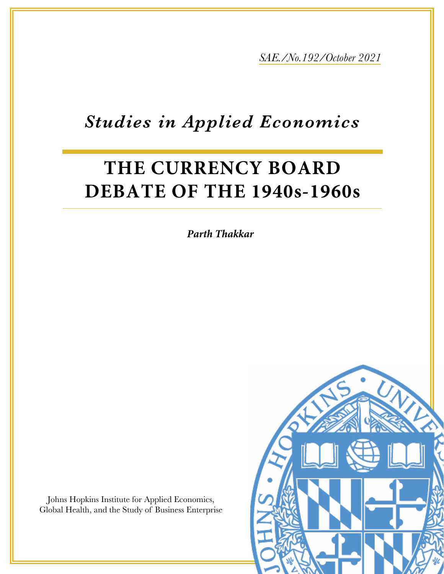*SAE./No.192/October 2021*

## *Studies in Applied Economics*

# **THE CURRENCY BOARD DEBATE OF THE 1940s-1960s**

*Parth Thakkar*

Johns Hopkins Institute for Applied Economics, Global Health, and the Study of Business Enterprise

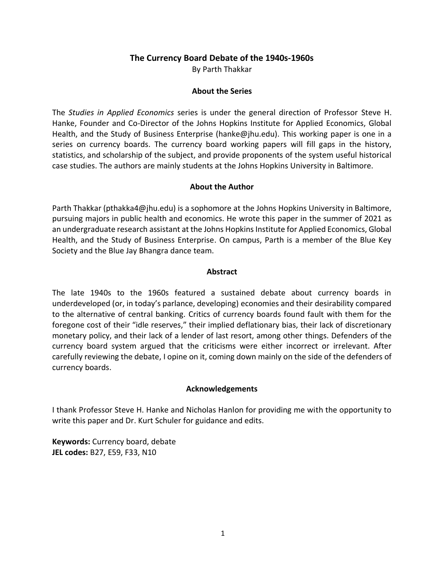#### **The Currency Board Debate of the 1940s-1960s**

By Parth Thakkar

#### **About the Series**

The *Studies in Applied Economics* series is under the general direction of Professor Steve H. Hanke, Founder and Co-Director of the Johns Hopkins Institute for Applied Economics, Global Health, and the Study of Business Enterprise (hanke@jhu.edu). This working paper is one in a series on currency boards. The currency board working papers will fill gaps in the history, statistics, and scholarship of the subject, and provide proponents of the system useful historical case studies. The authors are mainly students at the Johns Hopkins University in Baltimore.

#### **About the Author**

Parth Thakkar (pthakka4@jhu.edu) is a sophomore at the Johns Hopkins University in Baltimore, pursuing majors in public health and economics. He wrote this paper in the summer of 2021 as an undergraduate research assistant at the Johns Hopkins Institute for Applied Economics, Global Health, and the Study of Business Enterprise. On campus, Parth is a member of the Blue Key Society and the Blue Jay Bhangra dance team.

#### **Abstract**

The late 1940s to the 1960s featured a sustained debate about currency boards in underdeveloped (or, in today's parlance, developing) economies and their desirability compared to the alternative of central banking. Critics of currency boards found fault with them for the foregone cost of their "idle reserves," their implied deflationary bias, their lack of discretionary monetary policy, and their lack of a lender of last resort, among other things. Defenders of the currency board system argued that the criticisms were either incorrect or irrelevant. After carefully reviewing the debate, I opine on it, coming down mainly on the side of the defenders of currency boards.

#### **Acknowledgements**

I thank Professor Steve H. Hanke and Nicholas Hanlon for providing me with the opportunity to write this paper and Dr. Kurt Schuler for guidance and edits.

**Keywords:** Currency board, debate **JEL codes:** B27, E59, F33, N10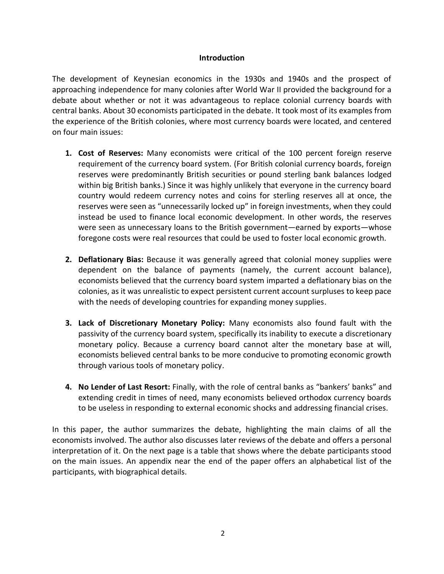#### **Introduction**

The development of Keynesian economics in the 1930s and 1940s and the prospect of approaching independence for many colonies after World War II provided the background for a debate about whether or not it was advantageous to replace colonial currency boards with central banks. About 30 economists participated in the debate. It took most of its examples from the experience of the British colonies, where most currency boards were located, and centered on four main issues:

- **1. Cost of Reserves:** Many economists were critical of the 100 percent foreign reserve requirement of the currency board system. (For British colonial currency boards, foreign reserves were predominantly British securities or pound sterling bank balances lodged within big British banks.) Since it was highly unlikely that everyone in the currency board country would redeem currency notes and coins for sterling reserves all at once, the reserves were seen as "unnecessarily locked up" in foreign investments, when they could instead be used to finance local economic development. In other words, the reserves were seen as unnecessary loans to the British government—earned by exports—whose foregone costs were real resources that could be used to foster local economic growth.
- **2. Deflationary Bias:** Because it was generally agreed that colonial money supplies were dependent on the balance of payments (namely, the current account balance), economists believed that the currency board system imparted a deflationary bias on the colonies, as it was unrealistic to expect persistent current account surpluses to keep pace with the needs of developing countries for expanding money supplies.
- **3. Lack of Discretionary Monetary Policy:** Many economists also found fault with the passivity of the currency board system, specifically its inability to execute a discretionary monetary policy. Because a currency board cannot alter the monetary base at will, economists believed central banks to be more conducive to promoting economic growth through various tools of monetary policy.
- **4. No Lender of Last Resort:** Finally, with the role of central banks as "bankers' banks" and extending credit in times of need, many economists believed orthodox currency boards to be useless in responding to external economic shocks and addressing financial crises.

In this paper, the author summarizes the debate, highlighting the main claims of all the economists involved. The author also discusses later reviews of the debate and offers a personal interpretation of it. On the next page is a table that shows where the debate participants stood on the main issues. An appendix near the end of the paper offers an alphabetical list of the participants, with biographical details.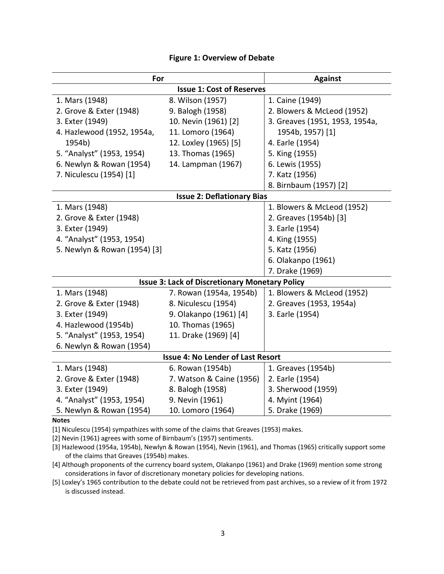| For                                                   |                          | <b>Against</b>                 |
|-------------------------------------------------------|--------------------------|--------------------------------|
| <b>Issue 1: Cost of Reserves</b>                      |                          |                                |
| 1. Mars (1948)                                        | 8. Wilson (1957)         | 1. Caine (1949)                |
| 2. Grove & Exter (1948)                               | 9. Balogh (1958)         | 2. Blowers & McLeod (1952)     |
| 3. Exter (1949)                                       | 10. Nevin (1961) [2]     | 3. Greaves (1951, 1953, 1954a, |
| 4. Hazlewood (1952, 1954a,                            | 11. Lomoro (1964)        | 1954b, 1957) [1]               |
| 1954b)                                                | 12. Loxley (1965) [5]    | 4. Earle (1954)                |
| 5. "Analyst" (1953, 1954)                             | 13. Thomas (1965)        | 5. King (1955)                 |
| 6. Newlyn & Rowan (1954)                              | 14. Lampman (1967)       | 6. Lewis (1955)                |
| 7. Niculescu (1954) [1]                               |                          | 7. Katz (1956)                 |
|                                                       |                          | 8. Birnbaum (1957) [2]         |
| <b>Issue 2: Deflationary Bias</b>                     |                          |                                |
| 1. Mars (1948)                                        |                          | 1. Blowers & McLeod (1952)     |
| 2. Grove & Exter (1948)                               |                          | 2. Greaves (1954b) [3]         |
| 3. Exter (1949)                                       |                          | 3. Earle (1954)                |
| 4. "Analyst" (1953, 1954)                             |                          | 4. King (1955)                 |
| 5. Newlyn & Rowan (1954) [3]                          |                          | 5. Katz (1956)                 |
|                                                       |                          | 6. Olakanpo (1961)             |
|                                                       |                          | 7. Drake (1969)                |
| <b>Issue 3: Lack of Discretionary Monetary Policy</b> |                          |                                |
| 1. Mars (1948)                                        | 7. Rowan (1954a, 1954b)  | 1. Blowers & McLeod (1952)     |
| 2. Grove & Exter (1948)                               | 8. Niculescu (1954)      | 2. Greaves (1953, 1954a)       |
| 3. Exter (1949)                                       | 9. Olakanpo (1961) [4]   | 3. Earle (1954)                |
| 4. Hazlewood (1954b)                                  | 10. Thomas (1965)        |                                |
| 5. "Analyst" (1953, 1954)                             | 11. Drake (1969) [4]     |                                |
| 6. Newlyn & Rowan (1954)                              |                          |                                |
| <b>Issue 4: No Lender of Last Resort</b>              |                          |                                |
| 1. Mars (1948)                                        | 6. Rowan (1954b)         | 1. Greaves (1954b)             |
| 2. Grove & Exter (1948)                               | 7. Watson & Caine (1956) | 2. Earle (1954)                |
| 3. Exter (1949)                                       | 8. Balogh (1958)         | 3. Sherwood (1959)             |
| 4. "Analyst" (1953, 1954)                             | 9. Nevin (1961)          | 4. Myint (1964)                |
| 5. Newlyn & Rowan (1954)                              | 10. Lomoro (1964)        | 5. Drake (1969)                |

#### **Figure 1: Overview of Debate**

#### **Notes**

[1] Niculescu (1954) sympathizes with some of the claims that Greaves (1953) makes.

[2] Nevin (1961) agrees with some of Birnbaum's (1957) sentiments.

[3] Hazlewood (1954a, 1954b), Newlyn & Rowan (1954), Nevin (1961), and Thomas (1965) critically support some of the claims that Greaves (1954b) makes.

[4] Although proponents of the currency board system, Olakanpo (1961) and Drake (1969) mention some strong considerations in favor of discretionary monetary policies for developing nations.

[5] Loxley's 1965 contribution to the debate could not be retrieved from past archives, so a review of it from 1972 is discussed instead.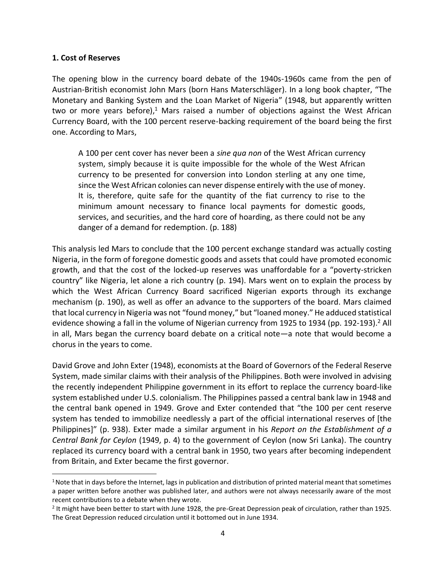#### **1. Cost of Reserves**

The opening blow in the currency board debate of the 1940s-1960s came from the pen of Austrian-British economist John Mars (born Hans Materschläger). In a long book chapter, "The Monetary and Banking System and the Loan Market of Nigeria" (1948, but apparently written two or more years before), $1$  Mars raised a number of objections against the West African Currency Board, with the 100 percent reserve-backing requirement of the board being the first one. According to Mars,

A 100 per cent cover has never been a *sine qua non* of the West African currency system, simply because it is quite impossible for the whole of the West African currency to be presented for conversion into London sterling at any one time, since the West African colonies can never dispense entirely with the use of money. It is, therefore, quite safe for the quantity of the fiat currency to rise to the minimum amount necessary to finance local payments for domestic goods, services, and securities, and the hard core of hoarding, as there could not be any danger of a demand for redemption. (p. 188)

This analysis led Mars to conclude that the 100 percent exchange standard was actually costing Nigeria, in the form of foregone domestic goods and assets that could have promoted economic growth, and that the cost of the locked-up reserves was unaffordable for a "poverty-stricken country" like Nigeria, let alone a rich country (p. 194). Mars went on to explain the process by which the West African Currency Board sacrificed Nigerian exports through its exchange mechanism (p. 190), as well as offer an advance to the supporters of the board. Mars claimed that local currency in Nigeria was not "found money," but "loaned money." He adduced statistical evidence showing a fall in the volume of Nigerian currency from 1925 to 1934 (pp. 192-193).<sup>2</sup> All in all, Mars began the currency board debate on a critical note—a note that would become a chorus in the years to come.

David Grove and John Exter (1948), economists at the Board of Governors of the Federal Reserve System, made similar claims with their analysis of the Philippines. Both were involved in advising the recently independent Philippine government in its effort to replace the currency board-like system established under U.S. colonialism. The Philippines passed a central bank law in 1948 and the central bank opened in 1949. Grove and Exter contended that "the 100 per cent reserve system has tended to immobilize needlessly a part of the official international reserves of [the Philippines]" (p. 938). Exter made a similar argument in his *Report on the Establishment of a Central Bank for Ceylon* (1949, p. 4) to the government of Ceylon (now Sri Lanka). The country replaced its currency board with a central bank in 1950, two years after becoming independent from Britain, and Exter became the first governor.

<sup>&</sup>lt;sup>1</sup> Note that in days before the Internet, lags in publication and distribution of printed material meant that sometimes a paper written before another was published later, and authors were not always necessarily aware of the most recent contributions to a debate when they wrote.

<sup>2</sup> It might have been better to start with June 1928, the pre-Great Depression peak of circulation, rather than 1925. The Great Depression reduced circulation until it bottomed out in June 1934.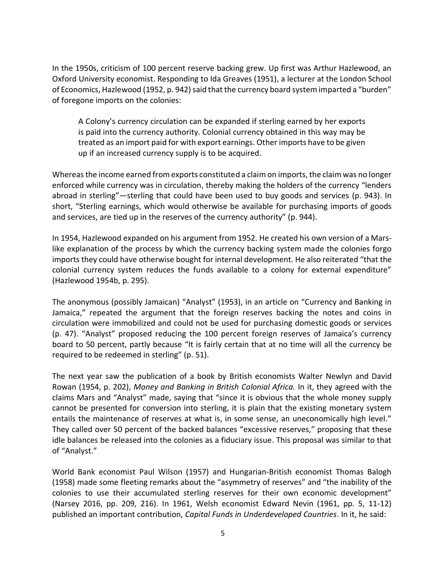In the 1950s, criticism of 100 percent reserve backing grew. Up first was Arthur Hazlewood, an Oxford University economist. Responding to Ida Greaves (1951), a lecturer at the London School of Economics, Hazlewood (1952, p. 942) said that the currency board system imparted a "burden" of foregone imports on the colonies:

A Colony's currency circulation can be expanded if sterling earned by her exports is paid into the currency authority. Colonial currency obtained in this way may be treated as an import paid for with export earnings. Other imports have to be given up if an increased currency supply is to be acquired.

Whereas the income earned from exports constituted a claim on imports, the claim was no longer enforced while currency was in circulation, thereby making the holders of the currency "lenders abroad in sterling"—sterling that could have been used to buy goods and services (p. 943). In short, "Sterling earnings, which would otherwise be available for purchasing imports of goods and services, are tied up in the reserves of the currency authority" (p. 944).

In 1954, Hazlewood expanded on his argument from 1952. He created his own version of a Marslike explanation of the process by which the currency backing system made the colonies forgo imports they could have otherwise bought for internal development. He also reiterated "that the colonial currency system reduces the funds available to a colony for external expenditure" (Hazlewood 1954b, p. 295).

The anonymous (possibly Jamaican) "Analyst" (1953), in an article on "Currency and Banking in Jamaica," repeated the argument that the foreign reserves backing the notes and coins in circulation were immobilized and could not be used for purchasing domestic goods or services (p. 47). "Analyst" proposed reducing the 100 percent foreign reserves of Jamaica's currency board to 50 percent, partly because "It is fairly certain that at no time will all the currency be required to be redeemed in sterling" (p. 51).

The next year saw the publication of a book by British economists Walter Newlyn and David Rowan (1954, p. 202), *Money and Banking in British Colonial Africa.* In it, they agreed with the claims Mars and "Analyst" made, saying that "since it is obvious that the whole money supply cannot be presented for conversion into sterling, it is plain that the existing monetary system entails the maintenance of reserves at what is, in some sense, an uneconomically high level." They called over 50 percent of the backed balances "excessive reserves," proposing that these idle balances be released into the colonies as a fiduciary issue. This proposal was similar to that of "Analyst."

World Bank economist Paul Wilson (1957) and Hungarian-British economist Thomas Balogh (1958) made some fleeting remarks about the "asymmetry of reserves" and "the inability of the colonies to use their accumulated sterling reserves for their own economic development" (Narsey 2016, pp. 209, 216). In 1961, Welsh economist Edward Nevin (1961, pp. 5, 11-12) published an important contribution, *Capital Funds in Underdeveloped Countries*. In it, he said: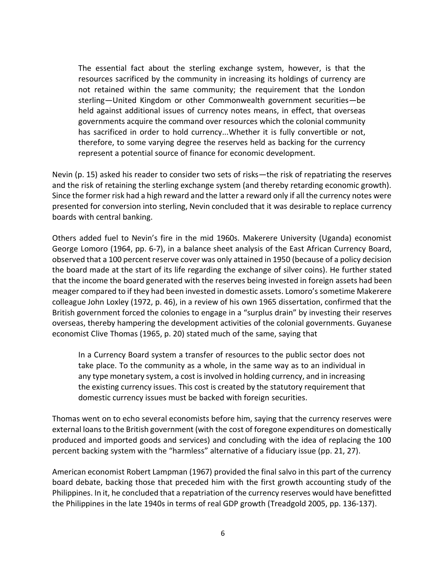The essential fact about the sterling exchange system, however, is that the resources sacrificed by the community in increasing its holdings of currency are not retained within the same community; the requirement that the London sterling—United Kingdom or other Commonwealth government securities—be held against additional issues of currency notes means, in effect, that overseas governments acquire the command over resources which the colonial community has sacrificed in order to hold currency...Whether it is fully convertible or not, therefore, to some varying degree the reserves held as backing for the currency represent a potential source of finance for economic development.

Nevin (p. 15) asked his reader to consider two sets of risks—the risk of repatriating the reserves and the risk of retaining the sterling exchange system (and thereby retarding economic growth). Since the former risk had a high reward and the latter a reward only if all the currency notes were presented for conversion into sterling, Nevin concluded that it was desirable to replace currency boards with central banking.

Others added fuel to Nevin's fire in the mid 1960s. Makerere University (Uganda) economist George Lomoro (1964, pp. 6-7), in a balance sheet analysis of the East African Currency Board, observed that a 100 percent reserve cover was only attained in 1950 (because of a policy decision the board made at the start of its life regarding the exchange of silver coins). He further stated that the income the board generated with the reserves being invested in foreign assets had been meager compared to if they had been invested in domestic assets. Lomoro's sometime Makerere colleague John Loxley (1972, p. 46), in a review of his own 1965 dissertation, confirmed that the British government forced the colonies to engage in a "surplus drain" by investing their reserves overseas, thereby hampering the development activities of the colonial governments. Guyanese economist Clive Thomas (1965, p. 20) stated much of the same, saying that

In a Currency Board system a transfer of resources to the public sector does not take place. To the community as a whole, in the same way as to an individual in any type monetary system, a cost is involved in holding currency, and in increasing the existing currency issues. This cost is created by the statutory requirement that domestic currency issues must be backed with foreign securities.

Thomas went on to echo several economists before him, saying that the currency reserves were external loans to the British government (with the cost of foregone expenditures on domestically produced and imported goods and services) and concluding with the idea of replacing the 100 percent backing system with the "harmless" alternative of a fiduciary issue (pp. 21, 27).

American economist Robert Lampman (1967) provided the final salvo in this part of the currency board debate, backing those that preceded him with the first growth accounting study of the Philippines. In it, he concluded that a repatriation of the currency reserves would have benefitted the Philippines in the late 1940s in terms of real GDP growth (Treadgold 2005, pp. 136-137).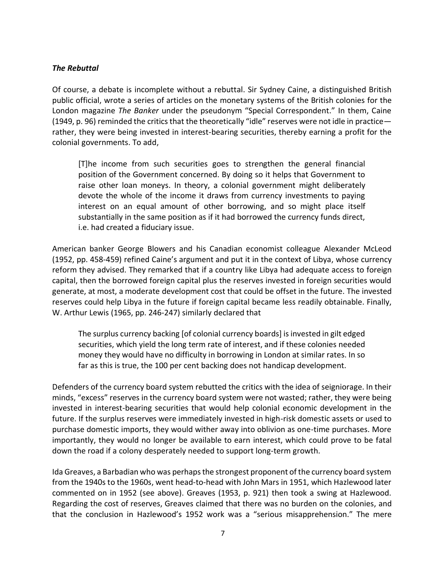#### *The Rebuttal*

Of course, a debate is incomplete without a rebuttal. Sir Sydney Caine, a distinguished British public official, wrote a series of articles on the monetary systems of the British colonies for the London magazine *The Banker* under the pseudonym "Special Correspondent." In them, Caine (1949, p. 96) reminded the critics that the theoretically "idle" reserves were not idle in practice rather, they were being invested in interest-bearing securities, thereby earning a profit for the colonial governments. To add,

[T]he income from such securities goes to strengthen the general financial position of the Government concerned. By doing so it helps that Government to raise other loan moneys. In theory, a colonial government might deliberately devote the whole of the income it draws from currency investments to paying interest on an equal amount of other borrowing, and so might place itself substantially in the same position as if it had borrowed the currency funds direct, i.e. had created a fiduciary issue.

American banker George Blowers and his Canadian economist colleague Alexander McLeod (1952, pp. 458-459) refined Caine's argument and put it in the context of Libya, whose currency reform they advised. They remarked that if a country like Libya had adequate access to foreign capital, then the borrowed foreign capital plus the reserves invested in foreign securities would generate, at most, a moderate development cost that could be offset in the future. The invested reserves could help Libya in the future if foreign capital became less readily obtainable. Finally, W. Arthur Lewis (1965, pp. 246-247) similarly declared that

The surplus currency backing [of colonial currency boards] is invested in gilt edged securities, which yield the long term rate of interest, and if these colonies needed money they would have no difficulty in borrowing in London at similar rates. In so far as this is true, the 100 per cent backing does not handicap development.

Defenders of the currency board system rebutted the critics with the idea of seigniorage. In their minds, "excess" reserves in the currency board system were not wasted; rather, they were being invested in interest-bearing securities that would help colonial economic development in the future. If the surplus reserves were immediately invested in high-risk domestic assets or used to purchase domestic imports, they would wither away into oblivion as one-time purchases. More importantly, they would no longer be available to earn interest, which could prove to be fatal down the road if a colony desperately needed to support long-term growth.

Ida Greaves, a Barbadian who was perhaps the strongest proponent of the currency board system from the 1940s to the 1960s, went head-to-head with John Mars in 1951, which Hazlewood later commented on in 1952 (see above). Greaves (1953, p. 921) then took a swing at Hazlewood. Regarding the cost of reserves, Greaves claimed that there was no burden on the colonies, and that the conclusion in Hazlewood's 1952 work was a "serious misapprehension." The mere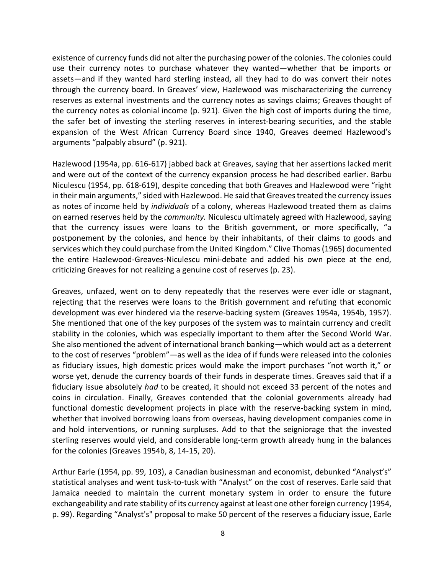existence of currency funds did not alter the purchasing power of the colonies. The colonies could use their currency notes to purchase whatever they wanted—whether that be imports or assets—and if they wanted hard sterling instead, all they had to do was convert their notes through the currency board. In Greaves' view, Hazlewood was mischaracterizing the currency reserves as external investments and the currency notes as savings claims; Greaves thought of the currency notes as colonial income (p. 921). Given the high cost of imports during the time, the safer bet of investing the sterling reserves in interest-bearing securities, and the stable expansion of the West African Currency Board since 1940, Greaves deemed Hazlewood's arguments "palpably absurd" (p. 921).

Hazlewood (1954a, pp. 616-617) jabbed back at Greaves, saying that her assertions lacked merit and were out of the context of the currency expansion process he had described earlier. Barbu Niculescu (1954, pp. 618-619), despite conceding that both Greaves and Hazlewood were "right in their main arguments," sided with Hazlewood. He said that Greaves treated the currency issues as notes of income held by *individuals* of a colony, whereas Hazlewood treated them as claims on earned reserves held by the *community.* Niculescu ultimately agreed with Hazlewood, saying that the currency issues were loans to the British government, or more specifically, "a postponement by the colonies, and hence by their inhabitants, of their claims to goods and services which they could purchase from the United Kingdom." Clive Thomas (1965) documented the entire Hazlewood-Greaves-Niculescu mini-debate and added his own piece at the end, criticizing Greaves for not realizing a genuine cost of reserves (p. 23).

Greaves, unfazed, went on to deny repeatedly that the reserves were ever idle or stagnant, rejecting that the reserves were loans to the British government and refuting that economic development was ever hindered via the reserve-backing system (Greaves 1954a, 1954b, 1957). She mentioned that one of the key purposes of the system was to maintain currency and credit stability in the colonies, which was especially important to them after the Second World War. She also mentioned the advent of international branch banking—which would act as a deterrent to the cost of reserves "problem"—as well as the idea of if funds were released into the colonies as fiduciary issues, high domestic prices would make the import purchases "not worth it," or worse yet, denude the currency boards of their funds in desperate times. Greaves said that if a fiduciary issue absolutely *had* to be created, it should not exceed 33 percent of the notes and coins in circulation. Finally, Greaves contended that the colonial governments already had functional domestic development projects in place with the reserve-backing system in mind, whether that involved borrowing loans from overseas, having development companies come in and hold interventions, or running surpluses. Add to that the seigniorage that the invested sterling reserves would yield, and considerable long-term growth already hung in the balances for the colonies (Greaves 1954b, 8, 14-15, 20).

Arthur Earle (1954, pp. 99, 103), a Canadian businessman and economist, debunked "Analyst's" statistical analyses and went tusk-to-tusk with "Analyst" on the cost of reserves. Earle said that Jamaica needed to maintain the current monetary system in order to ensure the future exchangeability and rate stability of its currency against at least one other foreign currency (1954, p. 99). Regarding "Analyst's" proposal to make 50 percent of the reserves a fiduciary issue, Earle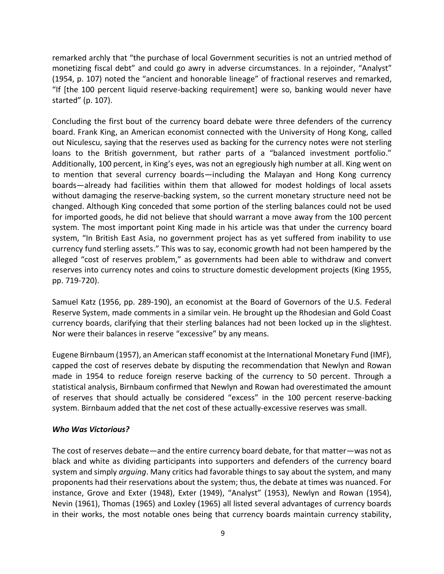remarked archly that "the purchase of local Government securities is not an untried method of monetizing fiscal debt" and could go awry in adverse circumstances. In a rejoinder, "Analyst" (1954, p. 107) noted the "ancient and honorable lineage" of fractional reserves and remarked, "If [the 100 percent liquid reserve-backing requirement] were so, banking would never have started" (p. 107).

Concluding the first bout of the currency board debate were three defenders of the currency board. Frank King, an American economist connected with the University of Hong Kong, called out Niculescu, saying that the reserves used as backing for the currency notes were not sterling loans to the British government, but rather parts of a "balanced investment portfolio." Additionally, 100 percent, in King's eyes, was not an egregiously high number at all. King went on to mention that several currency boards—including the Malayan and Hong Kong currency boards—already had facilities within them that allowed for modest holdings of local assets without damaging the reserve-backing system, so the current monetary structure need not be changed. Although King conceded that some portion of the sterling balances could not be used for imported goods, he did not believe that should warrant a move away from the 100 percent system. The most important point King made in his article was that under the currency board system, "In British East Asia, no government project has as yet suffered from inability to use currency fund sterling assets." This was to say, economic growth had not been hampered by the alleged "cost of reserves problem," as governments had been able to withdraw and convert reserves into currency notes and coins to structure domestic development projects (King 1955, pp. 719-720).

Samuel Katz (1956, pp. 289-190), an economist at the Board of Governors of the U.S. Federal Reserve System, made comments in a similar vein. He brought up the Rhodesian and Gold Coast currency boards, clarifying that their sterling balances had not been locked up in the slightest. Nor were their balances in reserve "excessive" by any means.

Eugene Birnbaum (1957), an American staff economist at the International Monetary Fund (IMF), capped the cost of reserves debate by disputing the recommendation that Newlyn and Rowan made in 1954 to reduce foreign reserve backing of the currency to 50 percent. Through a statistical analysis, Birnbaum confirmed that Newlyn and Rowan had overestimated the amount of reserves that should actually be considered "excess" in the 100 percent reserve-backing system. Birnbaum added that the net cost of these actually-excessive reserves was small.

#### *Who Was Victorious?*

The cost of reserves debate—and the entire currency board debate, for that matter—was not as black and white as dividing participants into supporters and defenders of the currency board system and simply *arguing*. Many critics had favorable things to say about the system, and many proponents had their reservations about the system; thus, the debate at times was nuanced. For instance, Grove and Exter (1948), Exter (1949), "Analyst" (1953), Newlyn and Rowan (1954), Nevin (1961), Thomas (1965) and Loxley (1965) all listed several advantages of currency boards in their works, the most notable ones being that currency boards maintain currency stability,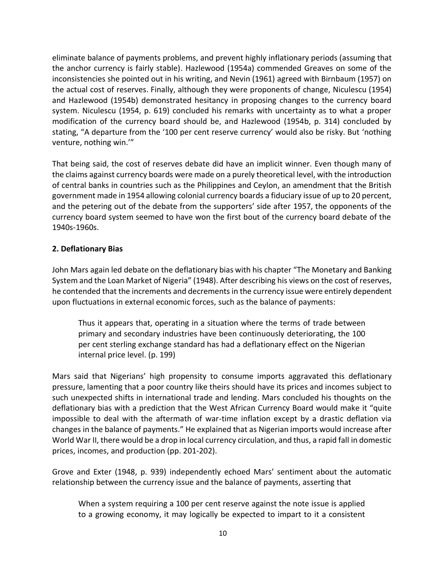eliminate balance of payments problems, and prevent highly inflationary periods (assuming that the anchor currency is fairly stable). Hazlewood (1954a) commended Greaves on some of the inconsistencies she pointed out in his writing, and Nevin (1961) agreed with Birnbaum (1957) on the actual cost of reserves. Finally, although they were proponents of change, Niculescu (1954) and Hazlewood (1954b) demonstrated hesitancy in proposing changes to the currency board system. Niculescu (1954, p. 619) concluded his remarks with uncertainty as to what a proper modification of the currency board should be, and Hazlewood (1954b, p. 314) concluded by stating, "A departure from the '100 per cent reserve currency' would also be risky. But 'nothing venture, nothing win.'"

That being said, the cost of reserves debate did have an implicit winner. Even though many of the claims against currency boards were made on a purely theoretical level, with the introduction of central banks in countries such as the Philippines and Ceylon, an amendment that the British government made in 1954 allowing colonial currency boards a fiduciary issue of up to 20 percent, and the petering out of the debate from the supporters' side after 1957, the opponents of the currency board system seemed to have won the first bout of the currency board debate of the 1940s-1960s.

## **2. Deflationary Bias**

John Mars again led debate on the deflationary bias with his chapter "The Monetary and Banking System and the Loan Market of Nigeria" (1948). After describing his views on the cost of reserves, he contended that the increments and decrements in the currency issue were entirely dependent upon fluctuations in external economic forces, such as the balance of payments:

Thus it appears that, operating in a situation where the terms of trade between primary and secondary industries have been continuously deteriorating, the 100 per cent sterling exchange standard has had a deflationary effect on the Nigerian internal price level. (p. 199)

Mars said that Nigerians' high propensity to consume imports aggravated this deflationary pressure, lamenting that a poor country like theirs should have its prices and incomes subject to such unexpected shifts in international trade and lending. Mars concluded his thoughts on the deflationary bias with a prediction that the West African Currency Board would make it "quite impossible to deal with the aftermath of war-time inflation except by a drastic deflation via changes in the balance of payments." He explained that as Nigerian imports would increase after World War II, there would be a drop in local currency circulation, and thus, a rapid fall in domestic prices, incomes, and production (pp. 201-202).

Grove and Exter (1948, p. 939) independently echoed Mars' sentiment about the automatic relationship between the currency issue and the balance of payments, asserting that

When a system requiring a 100 per cent reserve against the note issue is applied to a growing economy, it may logically be expected to impart to it a consistent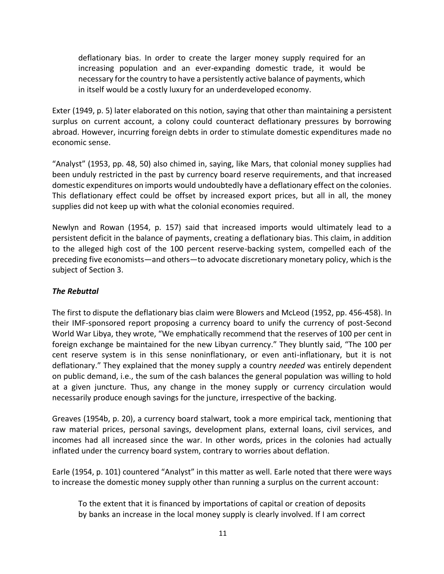deflationary bias. In order to create the larger money supply required for an increasing population and an ever-expanding domestic trade, it would be necessary for the country to have a persistently active balance of payments, which in itself would be a costly luxury for an underdeveloped economy.

Exter (1949, p. 5) later elaborated on this notion, saying that other than maintaining a persistent surplus on current account, a colony could counteract deflationary pressures by borrowing abroad. However, incurring foreign debts in order to stimulate domestic expenditures made no economic sense.

"Analyst" (1953, pp. 48, 50) also chimed in, saying, like Mars, that colonial money supplies had been unduly restricted in the past by currency board reserve requirements, and that increased domestic expenditures on imports would undoubtedly have a deflationary effect on the colonies. This deflationary effect could be offset by increased export prices, but all in all, the money supplies did not keep up with what the colonial economies required.

Newlyn and Rowan (1954, p. 157) said that increased imports would ultimately lead to a persistent deficit in the balance of payments, creating a deflationary bias. This claim, in addition to the alleged high cost of the 100 percent reserve-backing system, compelled each of the preceding five economists—and others—to advocate discretionary monetary policy, which is the subject of Section 3.

## *The Rebuttal*

The first to dispute the deflationary bias claim were Blowers and McLeod (1952, pp. 456-458). In their IMF-sponsored report proposing a currency board to unify the currency of post-Second World War Libya, they wrote, "We emphatically recommend that the reserves of 100 per cent in foreign exchange be maintained for the new Libyan currency." They bluntly said, "The 100 per cent reserve system is in this sense noninflationary, or even anti-inflationary, but it is not deflationary." They explained that the money supply a country *needed* was entirely dependent on public demand, i.e., the sum of the cash balances the general population was willing to hold at a given juncture. Thus, any change in the money supply or currency circulation would necessarily produce enough savings for the juncture, irrespective of the backing.

Greaves (1954b, p. 20), a currency board stalwart, took a more empirical tack, mentioning that raw material prices, personal savings, development plans, external loans, civil services, and incomes had all increased since the war. In other words, prices in the colonies had actually inflated under the currency board system, contrary to worries about deflation.

Earle (1954, p. 101) countered "Analyst" in this matter as well. Earle noted that there were ways to increase the domestic money supply other than running a surplus on the current account:

To the extent that it is financed by importations of capital or creation of deposits by banks an increase in the local money supply is clearly involved. If I am correct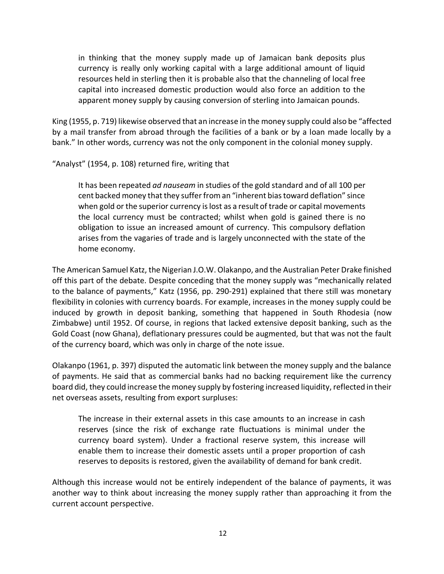in thinking that the money supply made up of Jamaican bank deposits plus currency is really only working capital with a large additional amount of liquid resources held in sterling then it is probable also that the channeling of local free capital into increased domestic production would also force an addition to the apparent money supply by causing conversion of sterling into Jamaican pounds.

King (1955, p. 719) likewise observed that an increase in the money supply could also be "affected by a mail transfer from abroad through the facilities of a bank or by a loan made locally by a bank." In other words, currency was not the only component in the colonial money supply.

"Analyst" (1954, p. 108) returned fire, writing that

It has been repeated *ad nauseam* in studies of the gold standard and of all 100 per cent backed money that they suffer from an "inherent bias toward deflation" since when gold or the superior currency is lost as a result of trade or capital movements the local currency must be contracted; whilst when gold is gained there is no obligation to issue an increased amount of currency. This compulsory deflation arises from the vagaries of trade and is largely unconnected with the state of the home economy.

The American Samuel Katz, the Nigerian J.O.W. Olakanpo, and the Australian Peter Drake finished off this part of the debate. Despite conceding that the money supply was "mechanically related to the balance of payments," Katz (1956, pp. 290-291) explained that there still was monetary flexibility in colonies with currency boards. For example, increases in the money supply could be induced by growth in deposit banking, something that happened in South Rhodesia (now Zimbabwe) until 1952. Of course, in regions that lacked extensive deposit banking, such as the Gold Coast (now Ghana), deflationary pressures could be augmented, but that was not the fault of the currency board, which was only in charge of the note issue.

Olakanpo (1961, p. 397) disputed the automatic link between the money supply and the balance of payments. He said that as commercial banks had no backing requirement like the currency board did, they could increase the money supply by fostering increased liquidity, reflected in their net overseas assets, resulting from export surpluses:

The increase in their external assets in this case amounts to an increase in cash reserves (since the risk of exchange rate fluctuations is minimal under the currency board system). Under a fractional reserve system, this increase will enable them to increase their domestic assets until a proper proportion of cash reserves to deposits is restored, given the availability of demand for bank credit.

Although this increase would not be entirely independent of the balance of payments, it was another way to think about increasing the money supply rather than approaching it from the current account perspective.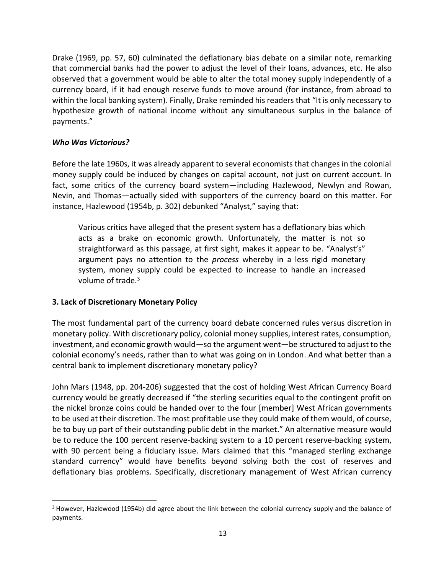Drake (1969, pp. 57, 60) culminated the deflationary bias debate on a similar note, remarking that commercial banks had the power to adjust the level of their loans, advances, etc. He also observed that a government would be able to alter the total money supply independently of a currency board, if it had enough reserve funds to move around (for instance, from abroad to within the local banking system). Finally, Drake reminded his readers that "It is only necessary to hypothesize growth of national income without any simultaneous surplus in the balance of payments."

## *Who Was Victorious?*

Before the late 1960s, it was already apparent to several economists that changes in the colonial money supply could be induced by changes on capital account, not just on current account. In fact, some critics of the currency board system—including Hazlewood, Newlyn and Rowan, Nevin, and Thomas—actually sided with supporters of the currency board on this matter. For instance, Hazlewood (1954b, p. 302) debunked "Analyst," saying that:

Various critics have alleged that the present system has a deflationary bias which acts as a brake on economic growth. Unfortunately, the matter is not so straightforward as this passage, at first sight, makes it appear to be. "Analyst's" argument pays no attention to the *process* whereby in a less rigid monetary system, money supply could be expected to increase to handle an increased volume of trade. $3$ 

## **3. Lack of Discretionary Monetary Policy**

The most fundamental part of the currency board debate concerned rules versus discretion in monetary policy. With discretionary policy, colonial money supplies, interest rates, consumption, investment, and economic growth would—so the argument went—be structured to adjust to the colonial economy's needs, rather than to what was going on in London. And what better than a central bank to implement discretionary monetary policy?

John Mars (1948, pp. 204-206) suggested that the cost of holding West African Currency Board currency would be greatly decreased if "the sterling securities equal to the contingent profit on the nickel bronze coins could be handed over to the four [member] West African governments to be used at their discretion. The most profitable use they could make of them would, of course, be to buy up part of their outstanding public debt in the market." An alternative measure would be to reduce the 100 percent reserve-backing system to a 10 percent reserve-backing system, with 90 percent being a fiduciary issue. Mars claimed that this "managed sterling exchange standard currency" would have benefits beyond solving both the cost of reserves and deflationary bias problems. Specifically, discretionary management of West African currency

<sup>3</sup> However, Hazlewood (1954b) did agree about the link between the colonial currency supply and the balance of payments.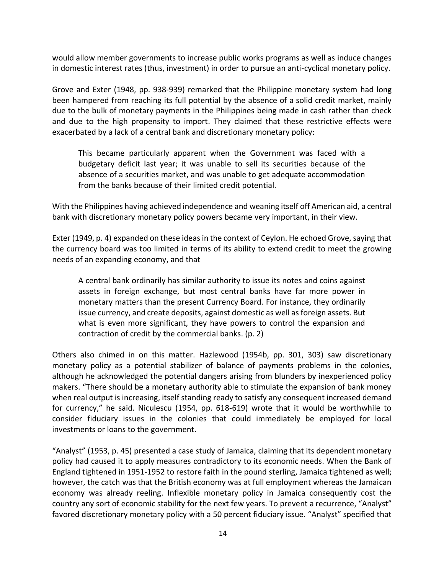would allow member governments to increase public works programs as well as induce changes in domestic interest rates (thus, investment) in order to pursue an anti-cyclical monetary policy.

Grove and Exter (1948, pp. 938-939) remarked that the Philippine monetary system had long been hampered from reaching its full potential by the absence of a solid credit market, mainly due to the bulk of monetary payments in the Philippines being made in cash rather than check and due to the high propensity to import. They claimed that these restrictive effects were exacerbated by a lack of a central bank and discretionary monetary policy:

This became particularly apparent when the Government was faced with a budgetary deficit last year; it was unable to sell its securities because of the absence of a securities market, and was unable to get adequate accommodation from the banks because of their limited credit potential.

With the Philippines having achieved independence and weaning itself off American aid, a central bank with discretionary monetary policy powers became very important, in their view.

Exter (1949, p. 4) expanded on these ideas in the context of Ceylon. He echoed Grove, saying that the currency board was too limited in terms of its ability to extend credit to meet the growing needs of an expanding economy, and that

A central bank ordinarily has similar authority to issue its notes and coins against assets in foreign exchange, but most central banks have far more power in monetary matters than the present Currency Board. For instance, they ordinarily issue currency, and create deposits, against domestic as well as foreign assets. But what is even more significant, they have powers to control the expansion and contraction of credit by the commercial banks. (p. 2)

Others also chimed in on this matter. Hazlewood (1954b, pp. 301, 303) saw discretionary monetary policy as a potential stabilizer of balance of payments problems in the colonies, although he acknowledged the potential dangers arising from blunders by inexperienced policy makers. "There should be a monetary authority able to stimulate the expansion of bank money when real output is increasing, itself standing ready to satisfy any consequent increased demand for currency," he said. Niculescu (1954, pp. 618-619) wrote that it would be worthwhile to consider fiduciary issues in the colonies that could immediately be employed for local investments or loans to the government.

"Analyst" (1953, p. 45) presented a case study of Jamaica, claiming that its dependent monetary policy had caused it to apply measures contradictory to its economic needs. When the Bank of England tightened in 1951-1952 to restore faith in the pound sterling, Jamaica tightened as well; however, the catch was that the British economy was at full employment whereas the Jamaican economy was already reeling. Inflexible monetary policy in Jamaica consequently cost the country any sort of economic stability for the next few years. To prevent a recurrence, "Analyst" favored discretionary monetary policy with a 50 percent fiduciary issue. "Analyst" specified that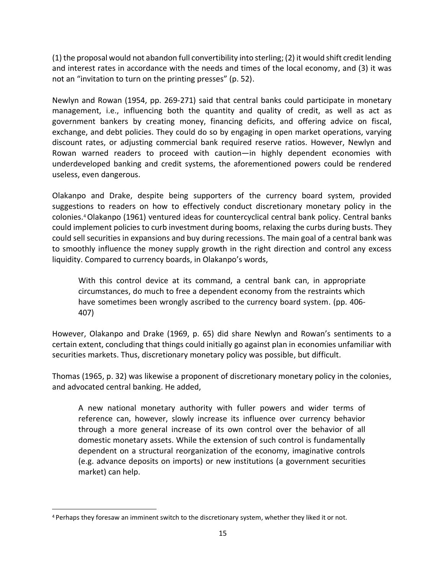(1) the proposal would not abandon full convertibility into sterling; (2) it would shift credit lending and interest rates in accordance with the needs and times of the local economy, and (3) it was not an "invitation to turn on the printing presses" (p. 52).

Newlyn and Rowan (1954, pp. 269-271) said that central banks could participate in monetary management, i.e., influencing both the quantity and quality of credit, as well as act as government bankers by creating money, financing deficits, and offering advice on fiscal, exchange, and debt policies. They could do so by engaging in open market operations, varying discount rates, or adjusting commercial bank required reserve ratios. However, Newlyn and Rowan warned readers to proceed with caution—in highly dependent economies with underdeveloped banking and credit systems, the aforementioned powers could be rendered useless, even dangerous.

Olakanpo and Drake, despite being supporters of the currency board system, provided suggestions to readers on how to effectively conduct discretionary monetary policy in the colonies. <sup>4</sup>Olakanpo (1961) ventured ideas for countercyclical central bank policy. Central banks could implement policies to curb investment during booms, relaxing the curbs during busts. They could sell securities in expansions and buy during recessions. The main goal of a central bank was to smoothly influence the money supply growth in the right direction and control any excess liquidity. Compared to currency boards, in Olakanpo's words,

With this control device at its command, a central bank can, in appropriate circumstances, do much to free a dependent economy from the restraints which have sometimes been wrongly ascribed to the currency board system. (pp. 406- 407)

However, Olakanpo and Drake (1969, p. 65) did share Newlyn and Rowan's sentiments to a certain extent, concluding that things could initially go against plan in economies unfamiliar with securities markets. Thus, discretionary monetary policy was possible, but difficult.

Thomas (1965, p. 32) was likewise a proponent of discretionary monetary policy in the colonies, and advocated central banking. He added,

A new national monetary authority with fuller powers and wider terms of reference can, however, slowly increase its influence over currency behavior through a more general increase of its own control over the behavior of all domestic monetary assets. While the extension of such control is fundamentally dependent on a structural reorganization of the economy, imaginative controls (e.g. advance deposits on imports) or new institutions (a government securities market) can help.

<sup>4</sup> Perhaps they foresaw an imminent switch to the discretionary system, whether they liked it or not.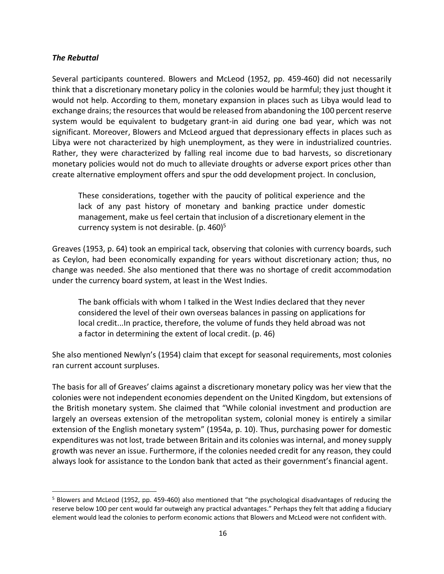#### *The Rebuttal*

Several participants countered. Blowers and McLeod (1952, pp. 459-460) did not necessarily think that a discretionary monetary policy in the colonies would be harmful; they just thought it would not help. According to them, monetary expansion in places such as Libya would lead to exchange drains; the resources that would be released from abandoning the 100 percent reserve system would be equivalent to budgetary grant-in aid during one bad year, which was not significant. Moreover, Blowers and McLeod argued that depressionary effects in places such as Libya were not characterized by high unemployment, as they were in industrialized countries. Rather, they were characterized by falling real income due to bad harvests, so discretionary monetary policies would not do much to alleviate droughts or adverse export prices other than create alternative employment offers and spur the odd development project. In conclusion,

These considerations, together with the paucity of political experience and the lack of any past history of monetary and banking practice under domestic management, make us feel certain that inclusion of a discretionary element in the currency system is not desirable. (p.  $460$ )<sup>5</sup>

Greaves (1953, p. 64) took an empirical tack, observing that colonies with currency boards, such as Ceylon, had been economically expanding for years without discretionary action; thus, no change was needed. She also mentioned that there was no shortage of credit accommodation under the currency board system, at least in the West Indies.

The bank officials with whom I talked in the West Indies declared that they never considered the level of their own overseas balances in passing on applications for local credit...In practice, therefore, the volume of funds they held abroad was not a factor in determining the extent of local credit. (p. 46)

She also mentioned Newlyn's (1954) claim that except for seasonal requirements, most colonies ran current account surpluses.

The basis for all of Greaves' claims against a discretionary monetary policy was her view that the colonies were not independent economies dependent on the United Kingdom, but extensions of the British monetary system. She claimed that "While colonial investment and production are largely an overseas extension of the metropolitan system, colonial money is entirely a similar extension of the English monetary system" (1954a, p. 10). Thus, purchasing power for domestic expenditures was not lost, trade between Britain and its colonies was internal, and money supply growth was never an issue. Furthermore, if the colonies needed credit for any reason, they could always look for assistance to the London bank that acted as their government's financial agent.

<sup>5</sup> Blowers and McLeod (1952, pp. 459-460) also mentioned that "the psychological disadvantages of reducing the reserve below 100 per cent would far outweigh any practical advantages." Perhaps they felt that adding a fiduciary element would lead the colonies to perform economic actions that Blowers and McLeod were not confident with.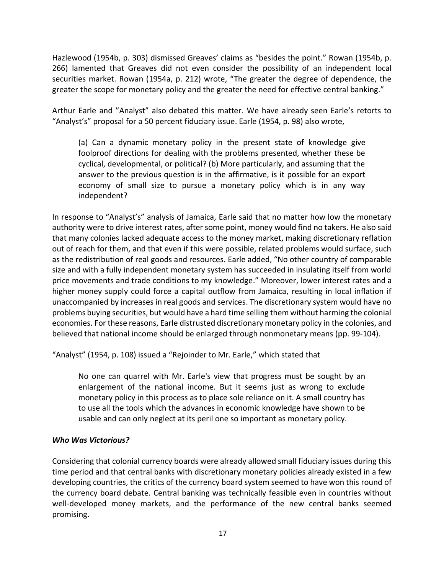Hazlewood (1954b, p. 303) dismissed Greaves' claims as "besides the point." Rowan (1954b, p. 266) lamented that Greaves did not even consider the possibility of an independent local securities market. Rowan (1954a, p. 212) wrote, "The greater the degree of dependence, the greater the scope for monetary policy and the greater the need for effective central banking."

Arthur Earle and "Analyst" also debated this matter. We have already seen Earle's retorts to "Analyst's" proposal for a 50 percent fiduciary issue. Earle (1954, p. 98) also wrote,

(a) Can a dynamic monetary policy in the present state of knowledge give foolproof directions for dealing with the problems presented, whether these be cyclical, developmental, or political? (b) More particularly, and assuming that the answer to the previous question is in the affirmative, is it possible for an export economy of small size to pursue a monetary policy which is in any way independent?

In response to "Analyst's" analysis of Jamaica, Earle said that no matter how low the monetary authority were to drive interest rates, after some point, money would find no takers. He also said that many colonies lacked adequate access to the money market, making discretionary reflation out of reach for them, and that even if this were possible, related problems would surface, such as the redistribution of real goods and resources. Earle added, "No other country of comparable size and with a fully independent monetary system has succeeded in insulating itself from world price movements and trade conditions to my knowledge." Moreover, lower interest rates and a higher money supply could force a capital outflow from Jamaica, resulting in local inflation if unaccompanied by increases in real goods and services. The discretionary system would have no problems buying securities, but would have a hard time selling them without harming the colonial economies. For these reasons, Earle distrusted discretionary monetary policy in the colonies, and believed that national income should be enlarged through nonmonetary means (pp. 99-104).

"Analyst" (1954, p. 108) issued a "Rejoinder to Mr. Earle," which stated that

No one can quarrel with Mr. Earle's view that progress must be sought by an enlargement of the national income. But it seems just as wrong to exclude monetary policy in this process as to place sole reliance on it. A small country has to use all the tools which the advances in economic knowledge have shown to be usable and can only neglect at its peril one so important as monetary policy.

## *Who Was Victorious?*

Considering that colonial currency boards were already allowed small fiduciary issues during this time period and that central banks with discretionary monetary policies already existed in a few developing countries, the critics of the currency board system seemed to have won this round of the currency board debate. Central banking was technically feasible even in countries without well-developed money markets, and the performance of the new central banks seemed promising.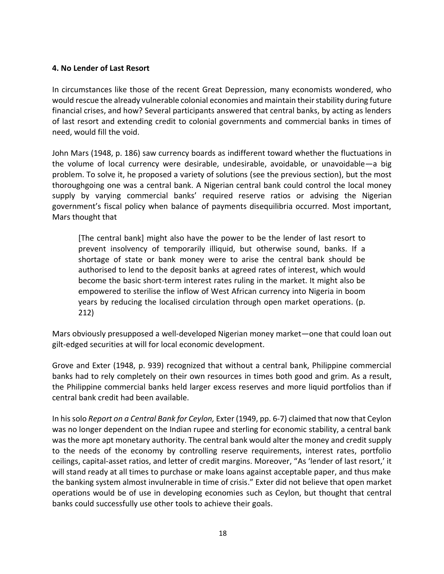#### **4. No Lender of Last Resort**

In circumstances like those of the recent Great Depression, many economists wondered, who would rescue the already vulnerable colonial economies and maintain their stability during future financial crises, and how? Several participants answered that central banks, by acting as lenders of last resort and extending credit to colonial governments and commercial banks in times of need, would fill the void.

John Mars (1948, p. 186) saw currency boards as indifferent toward whether the fluctuations in the volume of local currency were desirable, undesirable, avoidable, or unavoidable—a big problem. To solve it, he proposed a variety of solutions (see the previous section), but the most thoroughgoing one was a central bank. A Nigerian central bank could control the local money supply by varying commercial banks' required reserve ratios or advising the Nigerian government's fiscal policy when balance of payments disequilibria occurred. Most important, Mars thought that

[The central bank] might also have the power to be the lender of last resort to prevent insolvency of temporarily illiquid, but otherwise sound, banks. If a shortage of state or bank money were to arise the central bank should be authorised to lend to the deposit banks at agreed rates of interest, which would become the basic short-term interest rates ruling in the market. It might also be empowered to sterilise the inflow of West African currency into Nigeria in boom years by reducing the localised circulation through open market operations. (p. 212)

Mars obviously presupposed a well-developed Nigerian money market—one that could loan out gilt-edged securities at will for local economic development.

Grove and Exter (1948, p. 939) recognized that without a central bank, Philippine commercial banks had to rely completely on their own resources in times both good and grim. As a result, the Philippine commercial banks held larger excess reserves and more liquid portfolios than if central bank credit had been available.

In hissolo *Report on a Central Bank for Ceylon,* Exter (1949, pp. 6-7) claimed that now that Ceylon was no longer dependent on the Indian rupee and sterling for economic stability, a central bank was the more apt monetary authority. The central bank would alter the money and credit supply to the needs of the economy by controlling reserve requirements, interest rates, portfolio ceilings, capital-asset ratios, and letter of credit margins. Moreover, "As 'lender of last resort,' it will stand ready at all times to purchase or make loans against acceptable paper, and thus make the banking system almost invulnerable in time of crisis." Exter did not believe that open market operations would be of use in developing economies such as Ceylon, but thought that central banks could successfully use other tools to achieve their goals.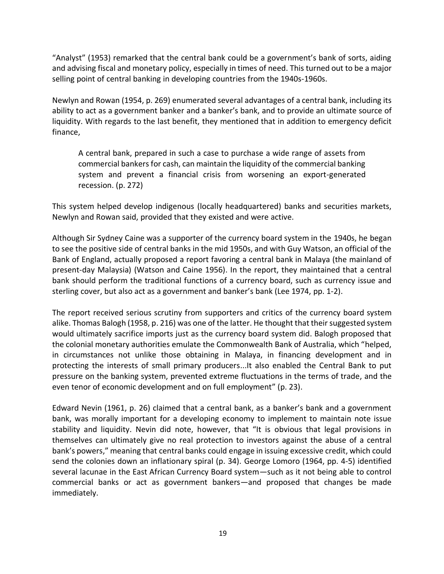"Analyst" (1953) remarked that the central bank could be a government's bank of sorts, aiding and advising fiscal and monetary policy, especially in times of need. This turned out to be a major selling point of central banking in developing countries from the 1940s-1960s.

Newlyn and Rowan (1954, p. 269) enumerated several advantages of a central bank, including its ability to act as a government banker and a banker's bank, and to provide an ultimate source of liquidity. With regards to the last benefit, they mentioned that in addition to emergency deficit finance,

A central bank, prepared in such a case to purchase a wide range of assets from commercial bankers for cash, can maintain the liquidity of the commercial banking system and prevent a financial crisis from worsening an export-generated recession. (p. 272)

This system helped develop indigenous (locally headquartered) banks and securities markets, Newlyn and Rowan said, provided that they existed and were active.

Although Sir Sydney Caine was a supporter of the currency board system in the 1940s, he began to see the positive side of central banks in the mid 1950s, and with Guy Watson, an official of the Bank of England, actually proposed a report favoring a central bank in Malaya (the mainland of present-day Malaysia) (Watson and Caine 1956). In the report, they maintained that a central bank should perform the traditional functions of a currency board, such as currency issue and sterling cover, but also act as a government and banker's bank (Lee 1974, pp. 1-2).

The report received serious scrutiny from supporters and critics of the currency board system alike. Thomas Balogh (1958, p. 216) was one of the latter. He thought that their suggested system would ultimately sacrifice imports just as the currency board system did. Balogh proposed that the colonial monetary authorities emulate the Commonwealth Bank of Australia, which "helped, in circumstances not unlike those obtaining in Malaya, in financing development and in protecting the interests of small primary producers...It also enabled the Central Bank to put pressure on the banking system, prevented extreme fluctuations in the terms of trade, and the even tenor of economic development and on full employment" (p. 23).

Edward Nevin (1961, p. 26) claimed that a central bank, as a banker's bank and a government bank, was morally important for a developing economy to implement to maintain note issue stability and liquidity. Nevin did note, however, that "It is obvious that legal provisions in themselves can ultimately give no real protection to investors against the abuse of a central bank's powers," meaning that central banks could engage in issuing excessive credit, which could send the colonies down an inflationary spiral (p. 34). George Lomoro (1964, pp. 4-5) identified several lacunae in the East African Currency Board system—such as it not being able to control commercial banks or act as government bankers—and proposed that changes be made immediately.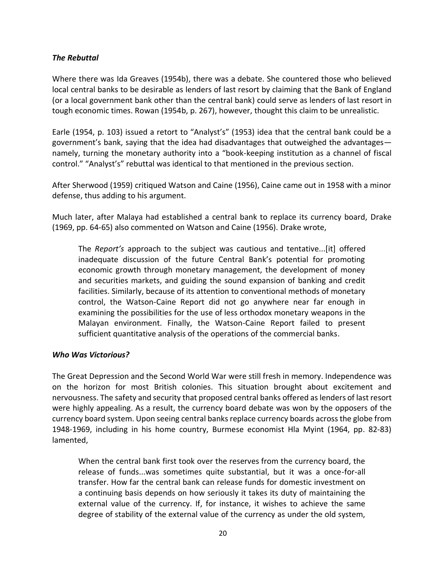#### *The Rebuttal*

Where there was Ida Greaves (1954b), there was a debate. She countered those who believed local central banks to be desirable as lenders of last resort by claiming that the Bank of England (or a local government bank other than the central bank) could serve as lenders of last resort in tough economic times. Rowan (1954b, p. 267), however, thought this claim to be unrealistic.

Earle (1954, p. 103) issued a retort to "Analyst's" (1953) idea that the central bank could be a government's bank, saying that the idea had disadvantages that outweighed the advantages namely, turning the monetary authority into a "book-keeping institution as a channel of fiscal control." "Analyst's" rebuttal was identical to that mentioned in the previous section.

After Sherwood (1959) critiqued Watson and Caine (1956), Caine came out in 1958 with a minor defense, thus adding to his argument.

Much later, after Malaya had established a central bank to replace its currency board, Drake (1969, pp. 64-65) also commented on Watson and Caine (1956). Drake wrote,

The *Report's* approach to the subject was cautious and tentative...[it] offered inadequate discussion of the future Central Bank's potential for promoting economic growth through monetary management, the development of money and securities markets, and guiding the sound expansion of banking and credit facilities. Similarly, because of its attention to conventional methods of monetary control, the Watson-Caine Report did not go anywhere near far enough in examining the possibilities for the use of less orthodox monetary weapons in the Malayan environment. Finally, the Watson-Caine Report failed to present sufficient quantitative analysis of the operations of the commercial banks.

#### *Who Was Victorious?*

The Great Depression and the Second World War were still fresh in memory. Independence was on the horizon for most British colonies. This situation brought about excitement and nervousness. The safety and security that proposed central banks offered as lenders of last resort were highly appealing. As a result, the currency board debate was won by the opposers of the currency board system. Upon seeing central banks replace currency boards across the globe from 1948-1969, including in his home country, Burmese economist Hla Myint (1964, pp. 82-83) lamented,

When the central bank first took over the reserves from the currency board, the release of funds...was sometimes quite substantial, but it was a once-for-all transfer. How far the central bank can release funds for domestic investment on a continuing basis depends on how seriously it takes its duty of maintaining the external value of the currency. If, for instance, it wishes to achieve the same degree of stability of the external value of the currency as under the old system,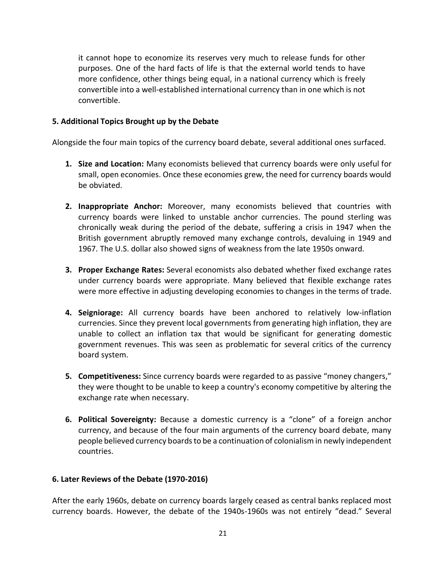it cannot hope to economize its reserves very much to release funds for other purposes. One of the hard facts of life is that the external world tends to have more confidence, other things being equal, in a national currency which is freely convertible into a well-established international currency than in one which is not convertible.

#### **5. Additional Topics Brought up by the Debate**

Alongside the four main topics of the currency board debate, several additional ones surfaced.

- **1. Size and Location:** Many economists believed that currency boards were only useful for small, open economies. Once these economies grew, the need for currency boards would be obviated.
- **2. Inappropriate Anchor:** Moreover, many economists believed that countries with currency boards were linked to unstable anchor currencies. The pound sterling was chronically weak during the period of the debate, suffering a crisis in 1947 when the British government abruptly removed many exchange controls, devaluing in 1949 and 1967. The U.S. dollar also showed signs of weakness from the late 1950s onward.
- **3. Proper Exchange Rates:** Several economists also debated whether fixed exchange rates under currency boards were appropriate. Many believed that flexible exchange rates were more effective in adjusting developing economies to changes in the terms of trade.
- **4. Seigniorage:** All currency boards have been anchored to relatively low-inflation currencies. Since they prevent local governments from generating high inflation, they are unable to collect an inflation tax that would be significant for generating domestic government revenues. This was seen as problematic for several critics of the currency board system.
- **5. Competitiveness:** Since currency boards were regarded to as passive "money changers," they were thought to be unable to keep a country's economy competitive by altering the exchange rate when necessary.
- **6. Political Sovereignty:** Because a domestic currency is a "clone" of a foreign anchor currency, and because of the four main arguments of the currency board debate, many people believed currency boards to be a continuation of colonialism in newly independent countries.

## **6. Later Reviews of the Debate (1970-2016)**

After the early 1960s, debate on currency boards largely ceased as central banks replaced most currency boards. However, the debate of the 1940s-1960s was not entirely "dead." Several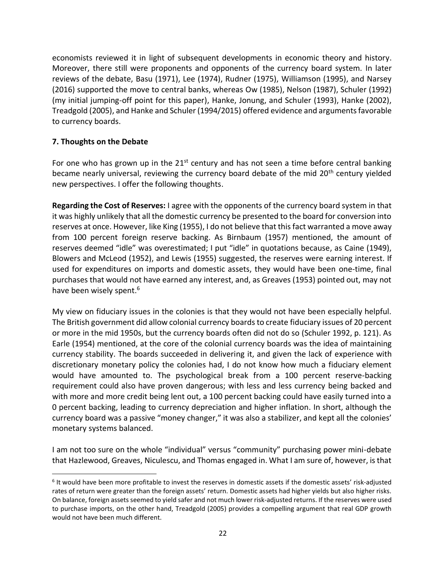economists reviewed it in light of subsequent developments in economic theory and history. Moreover, there still were proponents and opponents of the currency board system. In later reviews of the debate, Basu (1971), Lee (1974), Rudner (1975), Williamson (1995), and Narsey (2016) supported the move to central banks, whereas Ow (1985), Nelson (1987), Schuler (1992) (my initial jumping-off point for this paper), Hanke, Jonung, and Schuler (1993), Hanke (2002), Treadgold (2005), and Hanke and Schuler (1994/2015) offered evidence and arguments favorable to currency boards.

## **7. Thoughts on the Debate**

For one who has grown up in the  $21^{st}$  century and has not seen a time before central banking became nearly universal, reviewing the currency board debate of the mid 20<sup>th</sup> century yielded new perspectives. I offer the following thoughts.

**Regarding the Cost of Reserves:** I agree with the opponents of the currency board system in that it was highly unlikely that all the domestic currency be presented to the board for conversion into reserves at once. However, like King (1955), I do not believe that this fact warranted a move away from 100 percent foreign reserve backing. As Birnbaum (1957) mentioned, the amount of reserves deemed "idle" was overestimated; I put "idle" in quotations because, as Caine (1949), Blowers and McLeod (1952), and Lewis (1955) suggested, the reserves were earning interest. If used for expenditures on imports and domestic assets, they would have been one-time, final purchases that would not have earned any interest, and, as Greaves (1953) pointed out, may not have been wisely spent.<sup>6</sup>

My view on fiduciary issues in the colonies is that they would not have been especially helpful. The British government did allow colonial currency boards to create fiduciary issues of 20 percent or more in the mid 1950s, but the currency boards often did not do so (Schuler 1992, p. 121). As Earle (1954) mentioned, at the core of the colonial currency boards was the idea of maintaining currency stability. The boards succeeded in delivering it, and given the lack of experience with discretionary monetary policy the colonies had, I do not know how much a fiduciary element would have amounted to. The psychological break from a 100 percent reserve-backing requirement could also have proven dangerous; with less and less currency being backed and with more and more credit being lent out, a 100 percent backing could have easily turned into a 0 percent backing, leading to currency depreciation and higher inflation. In short, although the currency board was a passive "money changer," it was also a stabilizer, and kept all the colonies' monetary systems balanced.

I am not too sure on the whole "individual" versus "community" purchasing power mini-debate that Hazlewood, Greaves, Niculescu, and Thomas engaged in. What I am sure of, however, is that

<sup>6</sup> It would have been more profitable to invest the reserves in domestic assets if the domestic assets' risk-adjusted rates of return were greater than the foreign assets' return. Domestic assets had higher yields but also higher risks. On balance, foreign assets seemed to yield safer and not much lower risk-adjusted returns. If the reserves were used to purchase imports, on the other hand, Treadgold (2005) provides a compelling argument that real GDP growth would not have been much different.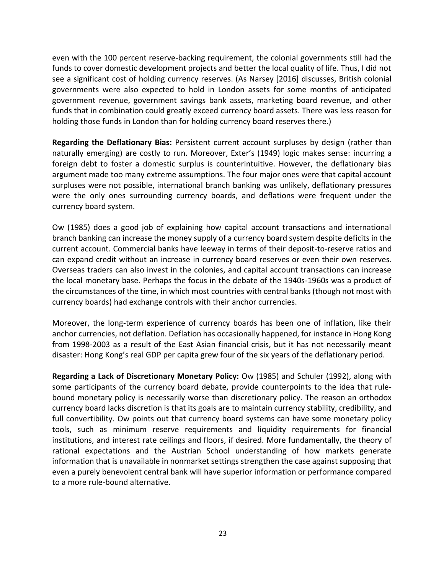even with the 100 percent reserve-backing requirement, the colonial governments still had the funds to cover domestic development projects and better the local quality of life. Thus, I did not see a significant cost of holding currency reserves. (As Narsey [2016] discusses, British colonial governments were also expected to hold in London assets for some months of anticipated government revenue, government savings bank assets, marketing board revenue, and other funds that in combination could greatly exceed currency board assets. There was less reason for holding those funds in London than for holding currency board reserves there.)

**Regarding the Deflationary Bias:** Persistent current account surpluses by design (rather than naturally emerging) are costly to run. Moreover, Exter's (1949) logic makes sense: incurring a foreign debt to foster a domestic surplus is counterintuitive. However, the deflationary bias argument made too many extreme assumptions. The four major ones were that capital account surpluses were not possible, international branch banking was unlikely, deflationary pressures were the only ones surrounding currency boards, and deflations were frequent under the currency board system.

Ow (1985) does a good job of explaining how capital account transactions and international branch banking can increase the money supply of a currency board system despite deficits in the current account. Commercial banks have leeway in terms of their deposit-to-reserve ratios and can expand credit without an increase in currency board reserves or even their own reserves. Overseas traders can also invest in the colonies, and capital account transactions can increase the local monetary base. Perhaps the focus in the debate of the 1940s-1960s was a product of the circumstances of the time, in which most countries with central banks (though not most with currency boards) had exchange controls with their anchor currencies.

Moreover, the long-term experience of currency boards has been one of inflation, like their anchor currencies, not deflation. Deflation has occasionally happened, for instance in Hong Kong from 1998-2003 as a result of the East Asian financial crisis, but it has not necessarily meant disaster: Hong Kong's real GDP per capita grew four of the six years of the deflationary period.

**Regarding a Lack of Discretionary Monetary Policy:** Ow (1985) and Schuler (1992), along with some participants of the currency board debate, provide counterpoints to the idea that rulebound monetary policy is necessarily worse than discretionary policy. The reason an orthodox currency board lacks discretion is that its goals are to maintain currency stability, credibility, and full convertibility. Ow points out that currency board systems can have some monetary policy tools, such as minimum reserve requirements and liquidity requirements for financial institutions, and interest rate ceilings and floors, if desired. More fundamentally, the theory of rational expectations and the Austrian School understanding of how markets generate information that is unavailable in nonmarket settings strengthen the case against supposing that even a purely benevolent central bank will have superior information or performance compared to a more rule-bound alternative.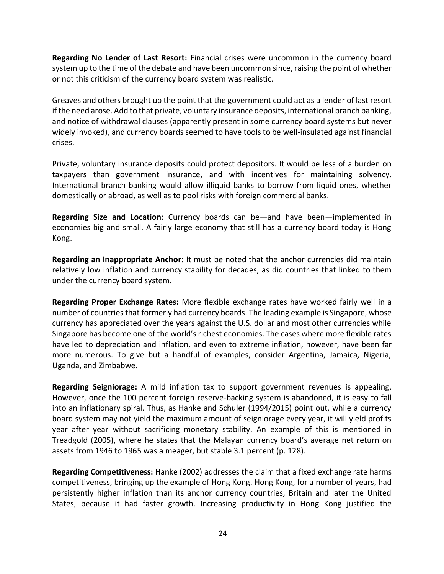**Regarding No Lender of Last Resort:** Financial crises were uncommon in the currency board system up to the time of the debate and have been uncommon since, raising the point of whether or not this criticism of the currency board system was realistic.

Greaves and others brought up the point that the government could act as a lender of last resort if the need arose. Add to that private, voluntary insurance deposits, international branch banking, and notice of withdrawal clauses (apparently present in some currency board systems but never widely invoked), and currency boards seemed to have tools to be well-insulated against financial crises.

Private, voluntary insurance deposits could protect depositors. It would be less of a burden on taxpayers than government insurance, and with incentives for maintaining solvency. International branch banking would allow illiquid banks to borrow from liquid ones, whether domestically or abroad, as well as to pool risks with foreign commercial banks.

**Regarding Size and Location:** Currency boards can be—and have been—implemented in economies big and small. A fairly large economy that still has a currency board today is Hong Kong.

**Regarding an Inappropriate Anchor:** It must be noted that the anchor currencies did maintain relatively low inflation and currency stability for decades, as did countries that linked to them under the currency board system.

**Regarding Proper Exchange Rates:** More flexible exchange rates have worked fairly well in a number of countries that formerly had currency boards. The leading example is Singapore, whose currency has appreciated over the years against the U.S. dollar and most other currencies while Singapore has become one of the world's richest economies. The cases where more flexible rates have led to depreciation and inflation, and even to extreme inflation, however, have been far more numerous. To give but a handful of examples, consider Argentina, Jamaica, Nigeria, Uganda, and Zimbabwe.

**Regarding Seigniorage:** A mild inflation tax to support government revenues is appealing. However, once the 100 percent foreign reserve-backing system is abandoned, it is easy to fall into an inflationary spiral. Thus, as Hanke and Schuler (1994/2015) point out, while a currency board system may not yield the maximum amount of seigniorage every year, it will yield profits year after year without sacrificing monetary stability. An example of this is mentioned in Treadgold (2005), where he states that the Malayan currency board's average net return on assets from 1946 to 1965 was a meager, but stable 3.1 percent (p. 128).

**Regarding Competitiveness:** Hanke (2002) addresses the claim that a fixed exchange rate harms competitiveness, bringing up the example of Hong Kong. Hong Kong, for a number of years, had persistently higher inflation than its anchor currency countries, Britain and later the United States, because it had faster growth. Increasing productivity in Hong Kong justified the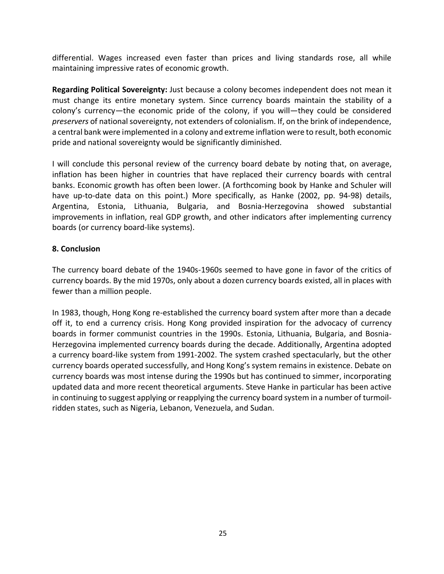differential. Wages increased even faster than prices and living standards rose, all while maintaining impressive rates of economic growth.

**Regarding Political Sovereignty:** Just because a colony becomes independent does not mean it must change its entire monetary system. Since currency boards maintain the stability of a colony's currency—the economic pride of the colony, if you will—they could be considered *preservers* of national sovereignty, not extenders of colonialism. If, on the brink of independence, a central bank were implemented in a colony and extreme inflation were to result, both economic pride and national sovereignty would be significantly diminished.

I will conclude this personal review of the currency board debate by noting that, on average, inflation has been higher in countries that have replaced their currency boards with central banks. Economic growth has often been lower. (A forthcoming book by Hanke and Schuler will have up-to-date data on this point.) More specifically, as Hanke (2002, pp. 94-98) details, Argentina, Estonia, Lithuania, Bulgaria, and Bosnia-Herzegovina showed substantial improvements in inflation, real GDP growth, and other indicators after implementing currency boards (or currency board-like systems).

#### **8. Conclusion**

The currency board debate of the 1940s-1960s seemed to have gone in favor of the critics of currency boards. By the mid 1970s, only about a dozen currency boards existed, all in places with fewer than a million people.

In 1983, though, Hong Kong re-established the currency board system after more than a decade off it, to end a currency crisis. Hong Kong provided inspiration for the advocacy of currency boards in former communist countries in the 1990s. Estonia, Lithuania, Bulgaria, and Bosnia-Herzegovina implemented currency boards during the decade. Additionally, Argentina adopted a currency board-like system from 1991-2002. The system crashed spectacularly, but the other currency boards operated successfully, and Hong Kong's system remains in existence. Debate on currency boards was most intense during the 1990s but has continued to simmer, incorporating updated data and more recent theoretical arguments. Steve Hanke in particular has been active in continuing to suggest applying or reapplying the currency board system in a number of turmoilridden states, such as Nigeria, Lebanon, Venezuela, and Sudan.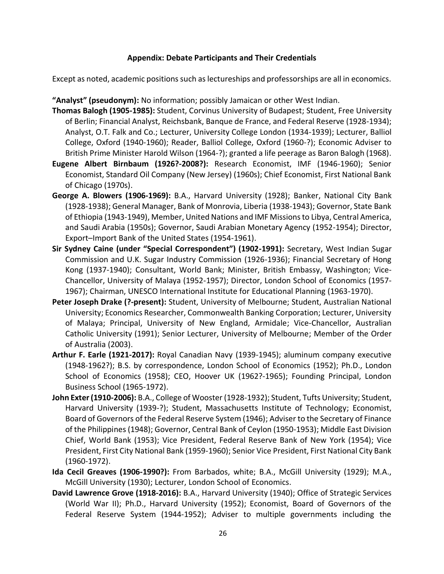#### **Appendix: Debate Participants and Their Credentials**

Except as noted, academic positions such as lectureships and professorships are all in economics.

**"Analyst" (pseudonym):** No information; possibly Jamaican or other West Indian.

- **Thomas Balogh (1905-1985):** Student, Corvinus University of Budapest; Student, Free University of Berlin; Financial Analyst, Reichsbank, Banque de France, and Federal Reserve (1928-1934); Analyst, O.T. Falk and Co.; Lecturer, University College London (1934-1939); Lecturer, Balliol College, Oxford (1940-1960); Reader, Balliol College, Oxford (1960-?); Economic Adviser to British Prime Minister Harold Wilson (1964-?); granted a life peerage as Baron Balogh (1968).
- **Eugene Albert Birnbaum (1926?-2008?):** Research Economist, IMF (1946-1960); Senior Economist, Standard Oil Company (New Jersey) (1960s); Chief Economist, First National Bank of Chicago (1970s).
- **George A. Blowers (1906-1969):** B.A., Harvard University (1928); Banker, National City Bank (1928-1938); General Manager, Bank of Monrovia, Liberia (1938-1943); Governor, State Bank of Ethiopia (1943-1949), Member, United Nations and IMF Missions to Libya, Central America, and Saudi Arabia (1950s); Governor, Saudi Arabian Monetary Agency (1952-1954); Director, Export–Import Bank of the United States (1954-1961).
- **Sir Sydney Caine (under "Special Correspondent") (1902-1991):** Secretary, West Indian Sugar Commission and U.K. Sugar Industry Commission (1926-1936); Financial Secretary of Hong Kong (1937-1940); Consultant, World Bank; Minister, British Embassy, Washington; Vice-Chancellor, University of Malaya (1952-1957); Director, London School of Economics (1957- 1967); Chairman, UNESCO International Institute for Educational Planning (1963-1970).
- **Peter Joseph Drake (?-present):** Student, University of Melbourne; Student, Australian National University; Economics Researcher, Commonwealth Banking Corporation; Lecturer, University of Malaya; Principal, University of New England, Armidale; Vice-Chancellor, Australian Catholic University (1991); Senior Lecturer, University of Melbourne; Member of the Order of Australia (2003).
- **Arthur F. Earle (1921-2017):** Royal Canadian Navy (1939-1945); aluminum company executive (1948-1962?); B.S. by correspondence, London School of Economics (1952); Ph.D., London School of Economics (1958); CEO, Hoover UK (1962?-1965); Founding Principal, London Business School (1965-1972).
- **John Exter (1910-2006):** B.A., College of Wooster (1928-1932); Student, Tufts University; Student, Harvard University (1939-?); Student, Massachusetts Institute of Technology; Economist, Board of Governors of the Federal Reserve System (1946); Adviser to the Secretary of Finance of the Philippines (1948); Governor, Central Bank of Ceylon (1950-1953); Middle East Division Chief, World Bank (1953); Vice President, Federal Reserve Bank of New York (1954); Vice President, First City National Bank (1959-1960); Senior Vice President, First National City Bank (1960-1972).
- **Ida Cecil Greaves (1906-1990?):** From Barbados, white; B.A., McGill University (1929); M.A., McGill University (1930); Lecturer, London School of Economics.
- **David Lawrence Grove (1918-2016):** B.A., Harvard University (1940); Office of Strategic Services (World War II); Ph.D., Harvard University (1952); Economist, Board of Governors of the Federal Reserve System (1944-1952); Adviser to multiple governments including the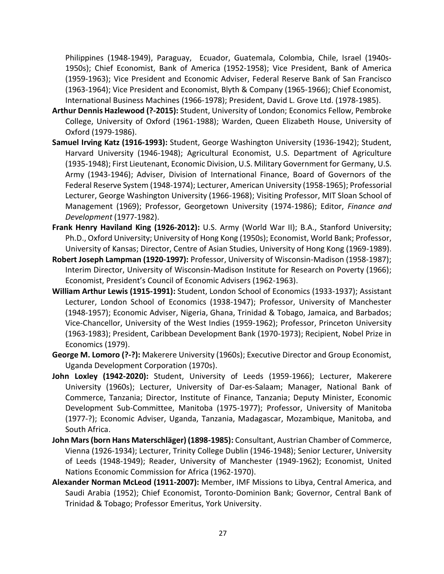Philippines (1948-1949), Paraguay, Ecuador, Guatemala, Colombia, Chile, Israel (1940s-1950s); Chief Economist, Bank of America (1952-1958); Vice President, Bank of America (1959-1963); Vice President and Economic Adviser, Federal Reserve Bank of San Francisco (1963-1964); Vice President and Economist, Blyth & Company (1965-1966); Chief Economist, International Business Machines (1966-1978); President, David L. Grove Ltd. (1978-1985).

- **Arthur Dennis Hazlewood (?-2015):** Student, University of London; Economics Fellow, Pembroke College, University of Oxford (1961-1988); Warden, Queen Elizabeth House, University of Oxford (1979-1986).
- **Samuel Irving Katz (1916-1993):** Student, George Washington University (1936-1942); Student, Harvard University (1946-1948); Agricultural Economist, U.S. Department of Agriculture (1935-1948); First Lieutenant, Economic Division, U.S. Military Government for Germany, U.S. Army (1943-1946); Adviser, Division of International Finance, Board of Governors of the Federal Reserve System (1948-1974); Lecturer, American University (1958-1965); Professorial Lecturer, George Washington University (1966-1968); Visiting Professor, MIT Sloan School of Management (1969); Professor, Georgetown University (1974-1986); Editor, *Finance and Development* (1977-1982).
- **Frank Henry Haviland King (1926-2012):** U.S. Army (World War II); B.A., Stanford University; Ph.D., Oxford University; University of Hong Kong (1950s); Economist, World Bank; Professor, University of Kansas; Director, Centre of Asian Studies, University of Hong Kong (1969-1989).
- **Robert Joseph Lampman (1920-1997):** Professor, University of Wisconsin-Madison (1958-1987); Interim Director, University of Wisconsin-Madison Institute for Research on Poverty (1966); Economist, President's Council of Economic Advisers (1962-1963).
- **William Arthur Lewis (1915-1991):** Student, London School of Economics (1933-1937); Assistant Lecturer, London School of Economics (1938-1947); Professor, University of Manchester (1948-1957); Economic Adviser, Nigeria, Ghana, Trinidad & Tobago, Jamaica, and Barbados; Vice-Chancellor, University of the West Indies (1959-1962); Professor, Princeton University (1963-1983); President, Caribbean Development Bank (1970-1973); Recipient, Nobel Prize in Economics (1979).
- **George M. Lomoro (?-?):** Makerere University (1960s); Executive Director and Group Economist, Uganda Development Corporation (1970s).
- **John Loxley (1942-2020):** Student, University of Leeds (1959-1966); Lecturer, Makerere University (1960s); Lecturer, University of Dar-es-Salaam; Manager, National Bank of Commerce, Tanzania; Director, Institute of Finance, Tanzania; Deputy Minister, Economic Development Sub-Committee, Manitoba (1975-1977); Professor, University of Manitoba (1977-?); Economic Adviser, Uganda, Tanzania, Madagascar, Mozambique, Manitoba, and South Africa.
- **John Mars (born Hans Materschläger) (1898-1985):** Consultant, Austrian Chamber of Commerce, Vienna (1926-1934); Lecturer, Trinity College Dublin (1946-1948); Senior Lecturer, University of Leeds (1948-1949); Reader, University of Manchester (1949-1962); Economist, United Nations Economic Commission for Africa (1962-1970).
- **Alexander Norman McLeod (1911-2007):** Member, IMF Missions to Libya, Central America, and Saudi Arabia (1952); Chief Economist, Toronto-Dominion Bank; Governor, Central Bank of Trinidad & Tobago; Professor Emeritus, York University.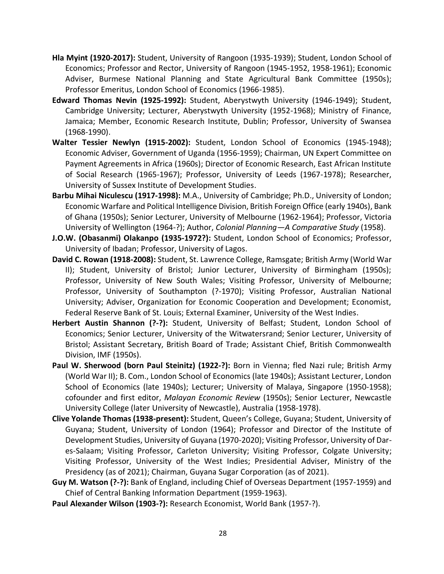- **Hla Myint (1920-2017):** Student, University of Rangoon (1935-1939); Student, London School of Economics; Professor and Rector, University of Rangoon (1945-1952, 1958-1961); Economic Adviser, Burmese National Planning and State Agricultural Bank Committee (1950s); Professor Emeritus, London School of Economics (1966-1985).
- **Edward Thomas Nevin (1925-1992):** Student, Aberystwyth University (1946-1949); Student, Cambridge University; Lecturer, Aberystwyth University (1952-1968); Ministry of Finance, Jamaica; Member, Economic Research Institute, Dublin; Professor, University of Swansea (1968-1990).
- **Walter Tessier Newlyn (1915-2002):** Student, London School of Economics (1945-1948); Economic Adviser, Government of Uganda (1956-1959); Chairman, UN Expert Committee on Payment Agreements in Africa (1960s); Director of Economic Research, East African Institute of Social Research (1965-1967); Professor, University of Leeds (1967-1978); Researcher, University of Sussex Institute of Development Studies.
- **Barbu Mihai Niculescu (1917-1998):** M.A., University of Cambridge; Ph.D., University of London; Economic Warfare and Political Intelligence Division, British Foreign Office (early 1940s), Bank of Ghana (1950s); Senior Lecturer, University of Melbourne (1962-1964); Professor, Victoria University of Wellington (1964-?); Author, *Colonial Planning—A Comparative Study* (1958).
- **J.O.W. (Obasanmi) Olakanpo (1935-1972?):** Student, London School of Economics; Professor, University of Ibadan; Professor, University of Lagos.
- **David C. Rowan (1918-2008):** Student, St. Lawrence College, Ramsgate; British Army (World War II); Student, University of Bristol; Junior Lecturer, University of Birmingham (1950s); Professor, University of New South Wales; Visiting Professor, University of Melbourne; Professor, University of Southampton (?-1970); Visiting Professor, Australian National University; Adviser, Organization for Economic Cooperation and Development; Economist, Federal Reserve Bank of St. Louis; External Examiner, University of the West Indies.
- **Herbert Austin Shannon (?-?):** Student, University of Belfast; Student, London School of Economics; Senior Lecturer, University of the Witwatersrand; Senior Lecturer, University of Bristol; Assistant Secretary, British Board of Trade; Assistant Chief, British Commonwealth Division, IMF (1950s).
- **Paul W. Sherwood (born Paul Steinitz) (1922-?):** Born in Vienna; fled Nazi rule; British Army (World War II); B. Com., London School of Economics (late 1940s); Assistant Lecturer, London School of Economics (late 1940s); Lecturer; University of Malaya, Singapore (1950-1958); cofounder and first editor, *Malayan Economic Review* (1950s); Senior Lecturer, Newcastle University College (later University of Newcastle), Australia (1958-1978).
- **Clive Yolande Thomas (1938-present):** Student, Queen's College, Guyana; Student, University of Guyana; Student, University of London (1964); Professor and Director of the Institute of Development Studies, University of Guyana (1970-2020); Visiting Professor, University of Dares-Salaam; Visiting Professor, Carleton University; Visiting Professor, Colgate University; Visiting Professor, University of the West Indies; Presidential Adviser, Ministry of the Presidency (as of 2021); Chairman, Guyana Sugar Corporation (as of 2021).
- **Guy M. Watson (?-?):** Bank of England, including Chief of Overseas Department (1957-1959) and Chief of Central Banking Information Department (1959-1963).
- **Paul Alexander Wilson (1903-?):** Research Economist, World Bank (1957-?).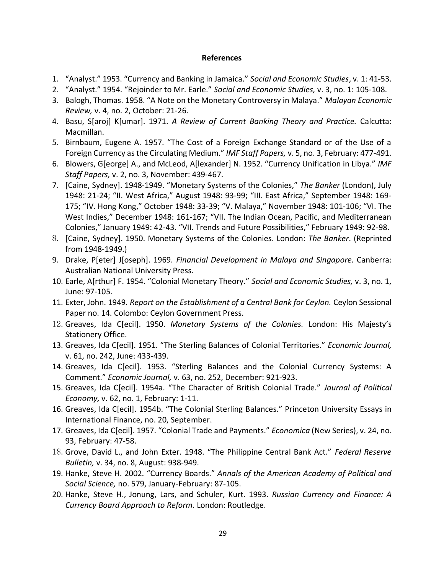#### **References**

- 1. "Analyst." 1953. "Currency and Banking in Jamaica." *Social and Economic Studies*, v. 1: 41-53.
- 2. "Analyst." 1954. "Rejoinder to Mr. Earle." *Social and Economic Studies,* v. 3, no. 1: 105-108.
- 3. Balogh, Thomas. 1958. "A Note on the Monetary Controversy in Malaya." *Malayan Economic Review,* v. 4, no. 2, October: 21-26.
- 4. Basu, S[aroj] K[umar]. 1971. *A Review of Current Banking Theory and Practice.* Calcutta: Macmillan.
- 5. Birnbaum, Eugene A. 1957. "The Cost of a Foreign Exchange Standard or of the Use of a Foreign Currency as the Circulating Medium." *IMF Staff Papers,* v. 5, no. 3, February: 477-491.
- 6. Blowers, G[eorge] A., and McLeod, A[lexander] N. 1952. "Currency Unification in Libya." *IMF Staff Papers,* v. 2, no. 3, November: 439-467.
- 7. [Caine, Sydney]. 1948-1949. "Monetary Systems of the Colonies," *The Banker* (London), July 1948: 21-24; "II. West Africa," August 1948: 93-99; "III. East Africa," September 1948: 169- 175; "IV. Hong Kong," October 1948: 33-39; "V. Malaya," November 1948: 101-106; "VI. The West Indies," December 1948: 161-167; "VII. The Indian Ocean, Pacific, and Mediterranean Colonies," January 1949: 42-43. "VII. Trends and Future Possibilities," February 1949: 92-98.
- 8. [Caine, Sydney]. 1950. Monetary Systems of the Colonies. London: *The Banker*. (Reprinted from 1948-1949.)
- 9. Drake, P[eter] J[oseph]. 1969. *Financial Development in Malaya and Singapore.* Canberra: Australian National University Press.
- 10. Earle, A[rthur] F. 1954. "Colonial Monetary Theory." *Social and Economic Studies,* v. 3, no. 1, June: 97-105.
- 11. Exter, John. 1949. *Report on the Establishment of a Central Bank for Ceylon.* Ceylon Sessional Paper no. 14. Colombo: Ceylon Government Press.
- 12.Greaves, Ida C[ecil]. 1950. *Monetary Systems of the Colonies.* London: His Majesty's Stationery Office.
- 13. Greaves, Ida C[ecil]. 1951. "The Sterling Balances of Colonial Territories." *Economic Journal,* v. 61, no. 242, June: 433-439.
- 14. Greaves, Ida C[ecil]. 1953. "Sterling Balances and the Colonial Currency Systems: A Comment." *Economic Journal,* v. 63, no. 252, December: 921-923.
- 15. Greaves, Ida C[ecil]. 1954a. "The Character of British Colonial Trade." *Journal of Political Economy,* v. 62, no. 1, February: 1-11.
- 16. Greaves, Ida C[ecil]. 1954b. "The Colonial Sterling Balances." Princeton University Essays in International Finance, no. 20, September.
- 17. Greaves, Ida C[ecil]. 1957. "Colonial Trade and Payments." *Economica* (New Series), v. 24, no. 93, February: 47-58.
- 18.Grove, David L., and John Exter. 1948. "The Philippine Central Bank Act." *Federal Reserve Bulletin,* v. 34, no. 8, August: 938-949.
- 19. Hanke, Steve H. 2002. "Currency Boards." *Annals of the American Academy of Political and Social Science,* no. 579, January-February: 87-105.
- 20. Hanke, Steve H., Jonung, Lars, and Schuler, Kurt. 1993. *Russian Currency and Finance: A Currency Board Approach to Reform.* London: Routledge.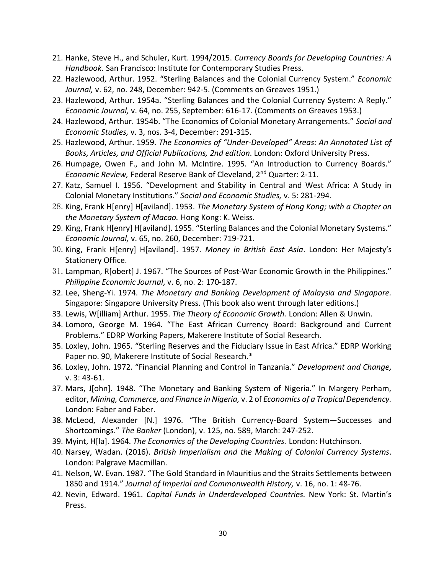- 21. Hanke, Steve H., and Schuler, Kurt. 1994/2015. *Currency Boards for Developing Countries: A Handbook.* San Francisco: Institute for Contemporary Studies Press.
- 22. Hazlewood, Arthur. 1952. "Sterling Balances and the Colonial Currency System." *Economic Journal,* v. 62, no. 248, December: 942-5. (Comments on Greaves 1951.)
- 23. Hazlewood, Arthur. 1954a. "Sterling Balances and the Colonial Currency System: A Reply." *Economic Journal,* v. 64, no. 255, September: 616-17. (Comments on Greaves 1953.)
- 24. Hazlewood, Arthur. 1954b. "The Economics of Colonial Monetary Arrangements." *Social and Economic Studies,* v. 3, nos. 3-4, December: 291-315.
- 25. Hazlewood, Arthur. 1959. *The Economics of "Under-Developed" Areas: An Annotated List of Books, Articles, and Official Publications, 2nd edition*. London: Oxford University Press.
- 26. Humpage, Owen F., and John M. McIntire. 1995. "An Introduction to Currency Boards." *Economic Review,* Federal Reserve Bank of Cleveland, 2nd Quarter: 2-11.
- 27. Katz, Samuel I. 1956. "Development and Stability in Central and West Africa: A Study in Colonial Monetary Institutions." *Social and Economic Studies,* v. 5: 281-294.
- 28.King, Frank H[enry] H[aviland]. 1953. *The Monetary System of Hong Kong; with a Chapter on the Monetary System of Macao.* Hong Kong: K. Weiss.
- 29. King, Frank H[enry] H[aviland]. 1955. "Sterling Balances and the Colonial Monetary Systems." *Economic Journal,* v. 65, no. 260, December: 719-721.
- 30.King, Frank H[enry] H[aviland]. 1957. *Money in British East Asia*. London: Her Majesty's Stationery Office.
- 31.Lampman, R[obert] J. 1967. "The Sources of Post-War Economic Growth in the Philippines." *Philippine Economic Journal,* v. 6, no. 2: 170-187.
- 32. Lee, Sheng-Yi. 1974. *The Monetary and Banking Development of Malaysia and Singapore.* Singapore: Singapore University Press. (This book also went through later editions.)
- 33. Lewis, W[illiam] Arthur. 1955. *The Theory of Economic Growth.* London: Allen & Unwin.
- 34. Lomoro, George M. 1964. "The East African Currency Board: Background and Current Problems." EDRP Working Papers, Makerere Institute of Social Research.
- 35. Loxley, John. 1965. "Sterling Reserves and the Fiduciary Issue in East Africa." EDRP Working Paper no. 90, Makerere Institute of Social Research.\*
- 36. Loxley, John. 1972. "Financial Planning and Control in Tanzania." *Development and Change,* v. 3: 43-61.
- 37. Mars, J[ohn]. 1948. "The Monetary and Banking System of Nigeria." In Margery Perham, editor, *Mining, Commerce, and Finance in Nigeria,* v. 2 of *Economics of a Tropical Dependency.* London: Faber and Faber.
- 38. McLeod, Alexander [N.] 1976. "The British Currency-Board System—Successes and Shortcomings." *The Banker* (London), v. 125, no. 589, March: 247-252.
- 39. Myint, H[la]. 1964. *The Economics of the Developing Countries.* London: Hutchinson.
- 40. Narsey, Wadan. (2016). *British Imperialism and the Making of Colonial Currency Systems*. London: Palgrave Macmillan.
- 41. Nelson, W. Evan. 1987. "The Gold Standard in Mauritius and the Straits Settlements between 1850 and 1914." *Journal of Imperial and Commonwealth History,* v. 16, no. 1: 48-76.
- 42. Nevin, Edward. 1961. *Capital Funds in Underdeveloped Countries.* New York: St. Martin's Press.